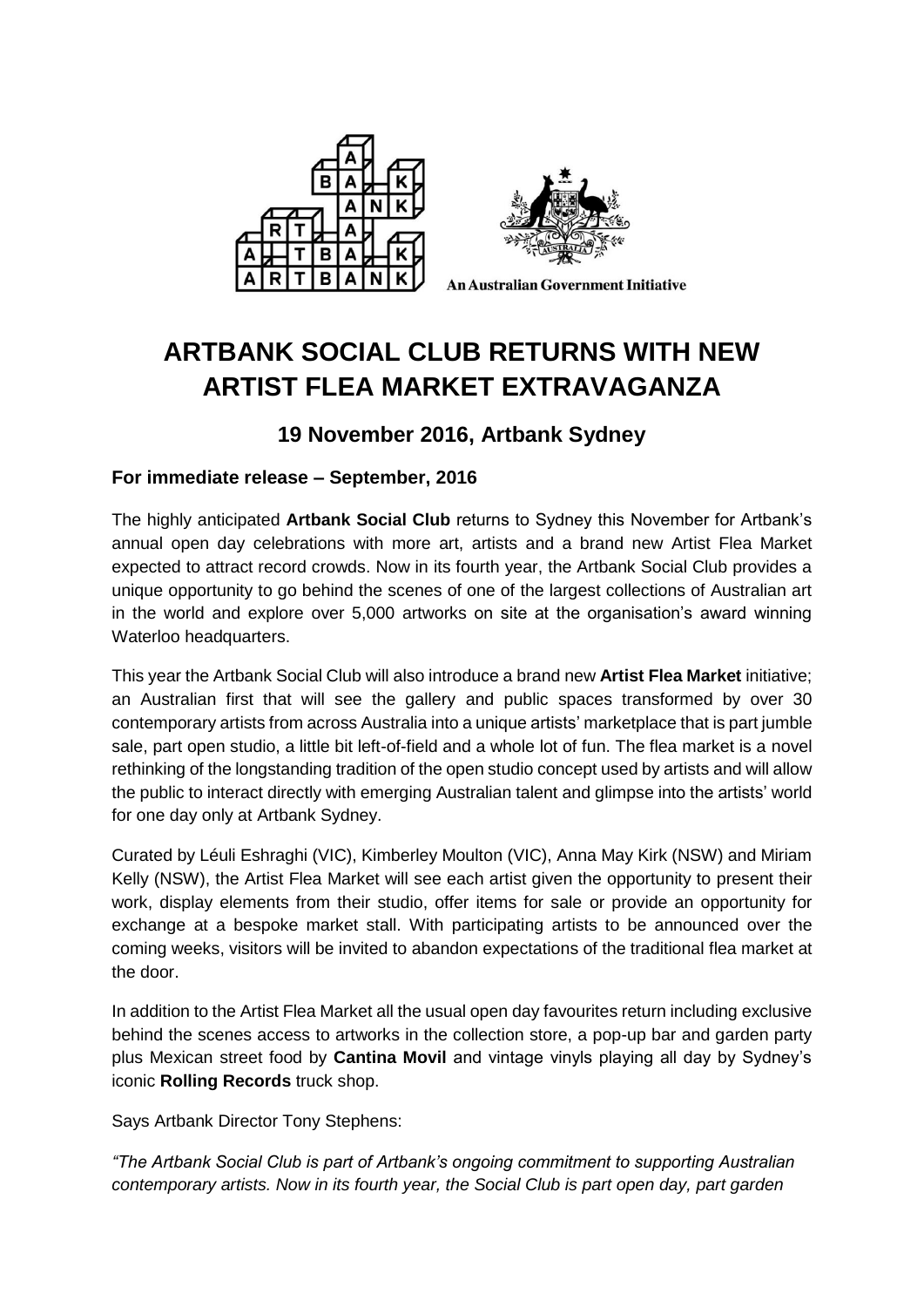



**An Australian Government Initiative** 

# **ARTBANK SOCIAL CLUB RETURNS WITH NEW ARTIST FLEA MARKET EXTRAVAGANZA**

## **19 November 2016, Artbank Sydney**

### **For immediate release – September, 2016**

The highly anticipated **Artbank Social Club** returns to Sydney this November for Artbank's annual open day celebrations with more art, artists and a brand new Artist Flea Market expected to attract record crowds. Now in its fourth year, the Artbank Social Club provides a unique opportunity to go behind the scenes of one of the largest collections of Australian art in the world and explore over 5,000 artworks on site at the organisation's award winning Waterloo headquarters.

This year the Artbank Social Club will also introduce a brand new **Artist Flea Market** initiative; an Australian first that will see the gallery and public spaces transformed by over 30 contemporary artists from across Australia into a unique artists' marketplace that is part jumble sale, part open studio, a little bit left-of-field and a whole lot of fun. The flea market is a novel rethinking of the longstanding tradition of the open studio concept used by artists and will allow the public to interact directly with emerging Australian talent and glimpse into the artists' world for one day only at Artbank Sydney.

Curated by Léuli Eshraghi (VIC), Kimberley Moulton (VIC), Anna May Kirk (NSW) and Miriam Kelly (NSW), the Artist Flea Market will see each artist given the opportunity to present their work, display elements from their studio, offer items for sale or provide an opportunity for exchange at a bespoke market stall. With participating artists to be announced over the coming weeks, visitors will be invited to abandon expectations of the traditional flea market at the door.

In addition to the Artist Flea Market all the usual open day favourites return including exclusive behind the scenes access to artworks in the collection store, a pop-up bar and garden party plus Mexican street food by **Cantina Movil** and vintage vinyls playing all day by Sydney's iconic **Rolling Records** truck shop.

Says Artbank Director Tony Stephens:

*"The Artbank Social Club is part of Artbank's ongoing commitment to supporting Australian contemporary artists. Now in its fourth year, the Social Club is part open day, part garden*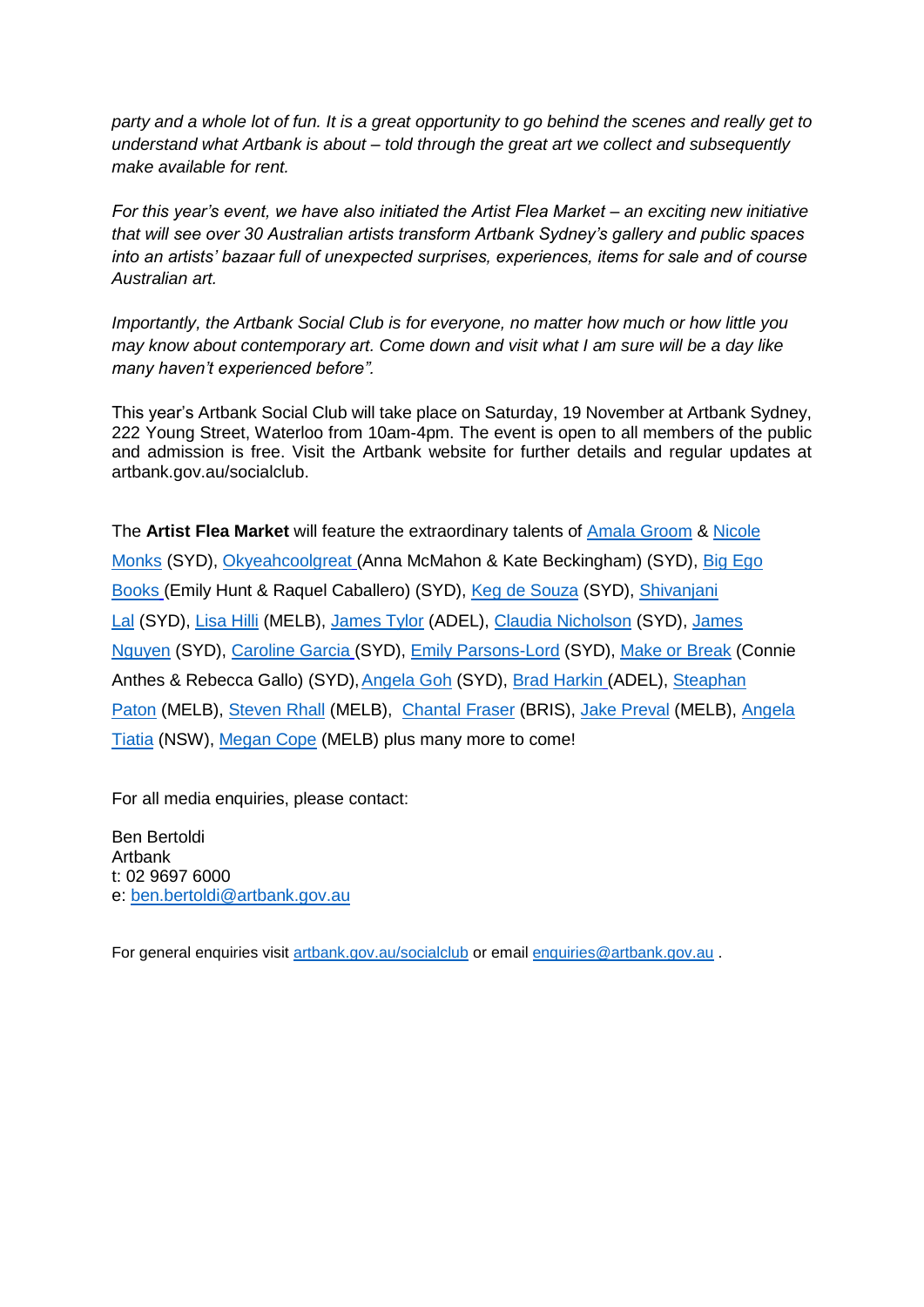*party and a whole lot of fun. It is a great opportunity to go behind the scenes and really get to understand what Artbank is about – told through the great art we collect and subsequently make available for rent.*

*For this year's event, we have also initiated the Artist Flea Market – an exciting new initiative that will see over 30 Australian artists transform Artbank Sydney's gallery and public spaces into an artists' bazaar full of unexpected surprises, experiences, items for sale and of course Australian art.* 

*Importantly, the Artbank Social Club is for everyone, no matter how much or how little you may know about contemporary art. Come down and visit what I am sure will be a day like many haven't experienced before".*

This year's Artbank Social Club will take place on Saturday, 19 November at Artbank Sydney, 222 Young Street, Waterloo from 10am-4pm. The event is open to all members of the public and admission is free. Visit the Artbank website for further details and regular updates at artbank.gov.au/socialclub.

The **Artist Flea Market** will feature the extraordinary talents of [Amala Groom](https://www.facebook.com/amalagroom/) & [Nicole](https://visualarts.net.au/artist-files/2016/nicole-monks/)  [Monks](https://visualarts.net.au/artist-files/2016/nicole-monks/) (SYD), [Okyeahcoolgreat](http://www.okyeahcoolgreat.com/) (Anna McMahon & Kate Beckingham) (SYD), [Big Ego](https://www.instagram.com/big_ego_books/)  [Books](https://www.instagram.com/big_ego_books/) (Emily Hunt & Raquel Caballero) (SYD), [Keg de Souza](http://www.kegdesouza.com/) (SYD), [Shivanjani](http://shivanjani-lal.tumblr.com/)  [Lal](http://shivanjani-lal.tumblr.com/) (SYD), [Lisa Hilli](https://lisahilli.com/) (MELB), [James Tylor](http://www.jamestylor.com/) (ADEL), [Claudia Nicholson](http://claudianicholson.com/) (SYD), [James](http://jamesnguyen.com.au/)  [Nguyen](http://jamesnguyen.com.au/) (SYD), [Caroline Garcia](http://carolinegarcia.com.au/) (SYD), [Emily Parsons-Lord](http://www.emilyparsons-lord.com/) (SYD), [Make or Break](http://firstdraft.org.au/exhibitions/makeorbreak/) (Connie Anthes & Rebecca Gallo) (SYD), Angela Goh (SYD), [Brad Harkin](https://www.artlink.com.au/articles/4506/brad-harkin-cultural-precinct/) (ADEL), Steaphan [Paton](http://www.steaphanpaton.com/) (MELB), [Steven Rhall](http://stevenrhall.com/) (MELB), [Chantal Fraser](http://chantalfraser.blogspot.com.au/) (BRIS), [Jake Preval](http://www.jakepreval.com/) (MELB), [Angela](http://www.angelatiatia.com/)  [Tiatia](http://www.angelatiatia.com/) (NSW), [Megan Cope](http://nutmegandhoney.blogspot.com.au/p/about.html) (MELB) plus many more to come!

For all media enquiries, please contact:

Ben Bertoldi Artbank t: 02 9697 6000 e: [ben.bertoldi@artbank.gov.au](mailto:ben.bertoldi@artbank.gov.au) 

For general enquiries visit<artbank.gov.au/socialclub> or email [enquiries@artbank.gov.au](mailto:enquiries@artbank.gov.au) .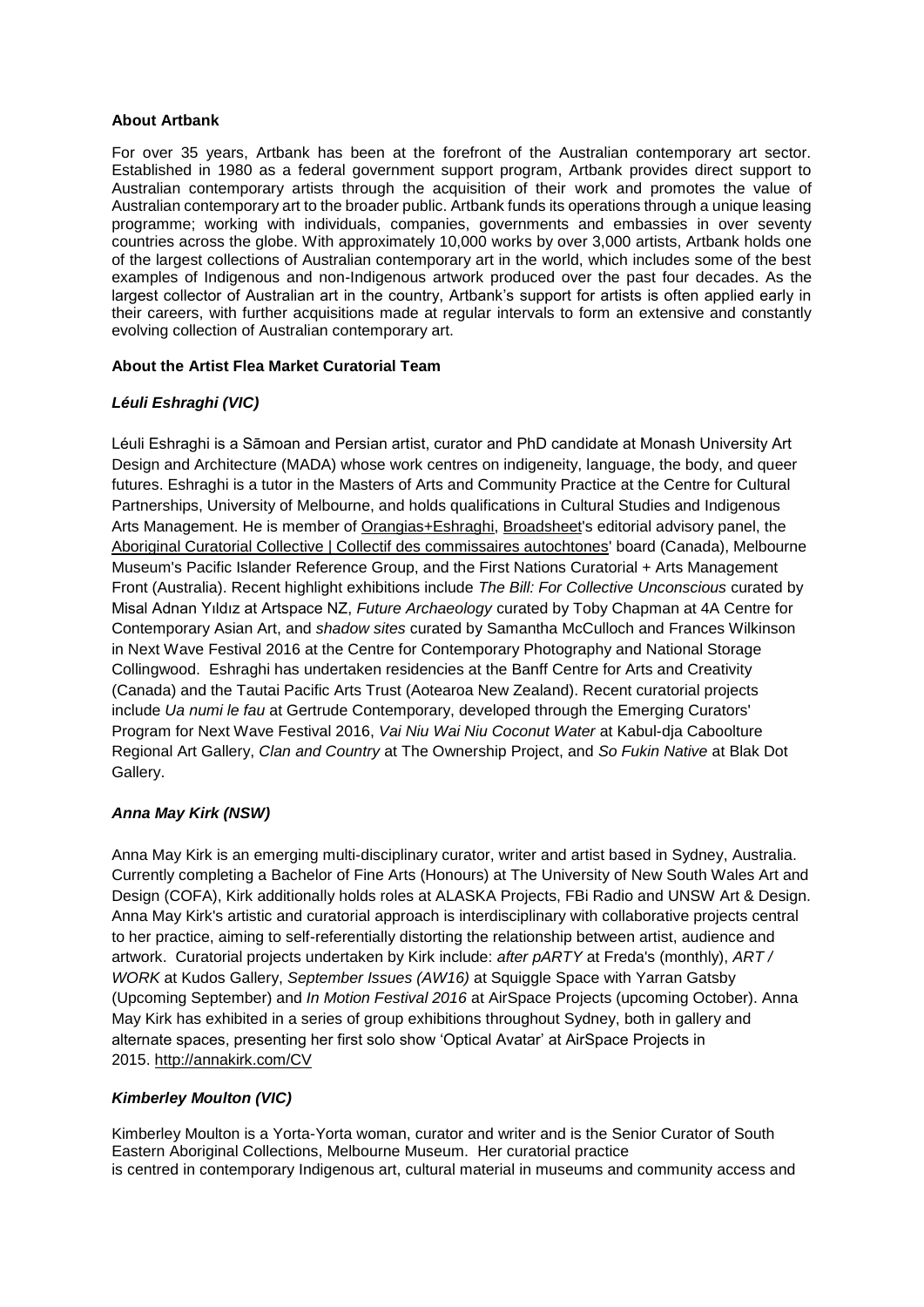#### **About Artbank**

For over 35 years, Artbank has been at the forefront of the Australian contemporary art sector. Established in 1980 as a federal government support program, Artbank provides direct support to Australian contemporary artists through the acquisition of their work and promotes the value of Australian contemporary art to the broader public. Artbank funds its operations through a unique leasing programme; working with individuals, companies, governments and embassies in over seventy countries across the globe. With approximately 10,000 works by over 3,000 artists, Artbank holds one of the largest collections of Australian contemporary art in the world, which includes some of the best examples of Indigenous and non-Indigenous artwork produced over the past four decades. As the largest collector of Australian art in the country, Artbank's support for artists is often applied early in their careers, with further acquisitions made at regular intervals to form an extensive and constantly evolving collection of Australian contemporary art.

#### **About the Artist Flea Market Curatorial Team**

#### *Léuli Eshraghi (VIC)*

Léuli Eshraghi is a Sāmoan and Persian artist, curator and PhD candidate at Monash University Art Design and Architecture (MADA) whose work centres on indigeneity, language, the body, and queer futures. Eshraghi is a tutor in the Masters of Arts and Community Practice at the Centre for Cultural Partnerships, University of Melbourne, and holds qualifications in Cultural Studies and Indigenous Arts Management. He is member of [Orangias+Eshraghi,](http://leulieshraghi.com/orangiaseshraghi) [Broadsheet'](http://www.cacsa.org.au/?page_id=3744)s editorial advisory panel, the [Aboriginal Curatorial Collective | Collectif des commissaires autochtones'](http://acc-cca.com/) board (Canada), Melbourne Museum's Pacific Islander Reference Group, and the First Nations Curatorial + Arts Management Front (Australia). Recent highlight exhibitions include *The Bill: For Collective Unconscious* curated by Misal Adnan Yıldız at Artspace NZ, *Future Archaeology* curated by Toby Chapman at 4A Centre for Contemporary Asian Art, and *shadow sites* curated by Samantha McCulloch and Frances Wilkinson in Next Wave Festival 2016 at the Centre for Contemporary Photography and National Storage Collingwood. Eshraghi has undertaken residencies at the Banff Centre for Arts and Creativity (Canada) and the Tautai Pacific Arts Trust (Aotearoa New Zealand). Recent curatorial projects include *Ua numi le fau* at Gertrude Contemporary, developed through the Emerging Curators' Program for Next Wave Festival 2016, *Vai Niu Wai Niu Coconut Water* at Kabul-dja Caboolture Regional Art Gallery, *Clan and Country* at The Ownership Project, and *So Fukin Native* at Blak Dot Gallery.

#### *Anna May Kirk (NSW)*

Anna May Kirk is an emerging multi-disciplinary curator, writer and artist based in Sydney, Australia. Currently completing a Bachelor of Fine Arts (Honours) at The University of New South Wales Art and Design (COFA), Kirk additionally holds roles at ALASKA Projects, FBi Radio and UNSW Art & Design. Anna May Kirk's artistic and curatorial approach is interdisciplinary with collaborative projects central to her practice, aiming to self-referentially distorting the relationship between artist, audience and artwork. Curatorial projects undertaken by Kirk include: *after pARTY* at Freda's (monthly), *ART / WORK* at Kudos Gallery, *September Issues (AW16)* at Squiggle Space with Yarran Gatsby (Upcoming September) and *In Motion Festival 2016* at AirSpace Projects (upcoming October). Anna May Kirk has exhibited in a series of group exhibitions throughout Sydney, both in gallery and alternate spaces, presenting her first solo show 'Optical Avatar' at AirSpace Projects in 2015. <http://annakirk.com/CV>

#### *Kimberley Moulton (VIC)*

Kimberley Moulton is a Yorta-Yorta woman, curator and writer and is the Senior Curator of South Eastern Aboriginal Collections, Melbourne Museum. Her curatorial practice is centred in contemporary Indigenous art, cultural material in museums and community access and